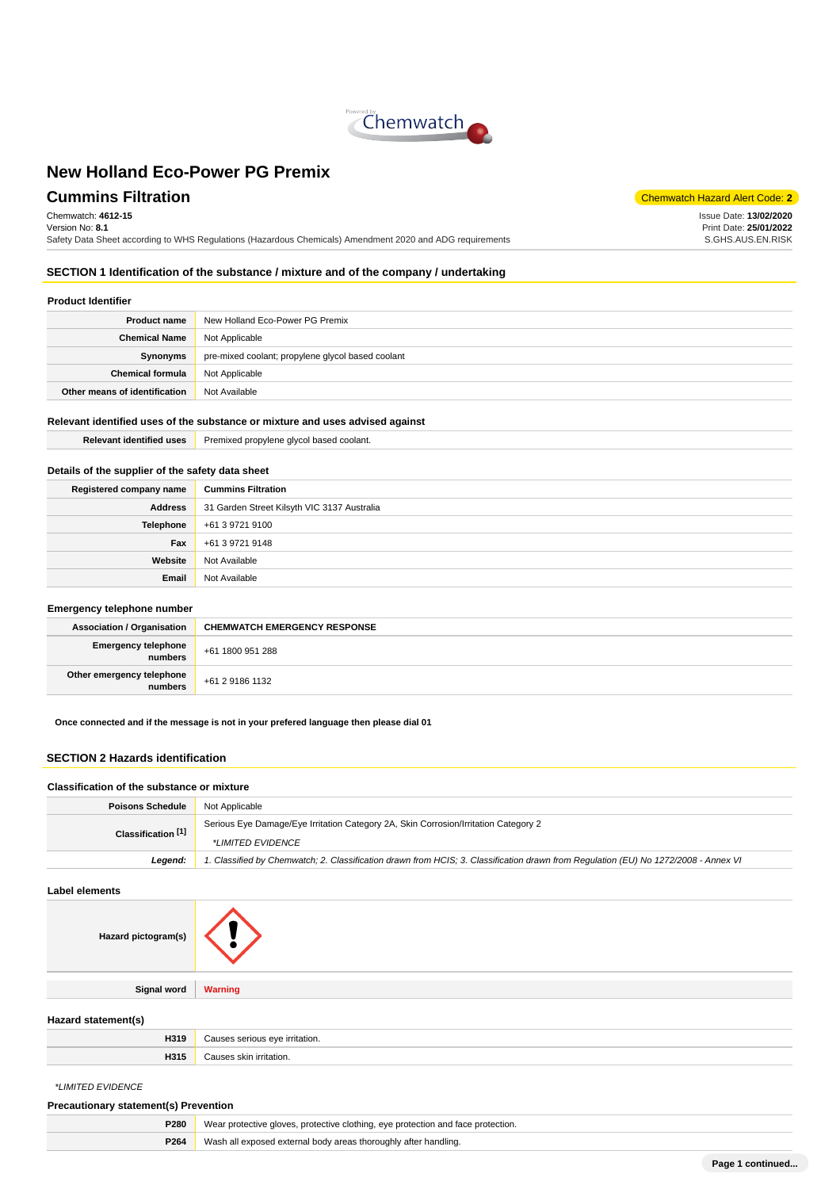

# **Cummins Filtration** Code: **2**

Chemwatch: **4612-15** Version No: **8.1** Safety Data Sheet according to WHS Regulations (Hazardous Chemicals) Amendment 2020 and ADG requirements

**SECTION 1 Identification of the substance / mixture and of the company / undertaking**

### **Product Identifier**

| <b>Product name</b>           | New Holland Eco-Power PG Premix                   |  |
|-------------------------------|---------------------------------------------------|--|
| <b>Chemical Name</b>          | Not Applicable                                    |  |
| Synonyms                      | pre-mixed coolant; propylene glycol based coolant |  |
| <b>Chemical formula</b>       | Not Applicable                                    |  |
| Other means of identification | Not Available                                     |  |

## **Relevant identified uses of the substance or mixture and uses advised against**

**Relevant identified uses** Premixed propylene glycol based coolant.

## **Details of the supplier of the safety data sheet**

| <b>Cummins Filtration</b>                   |  |
|---------------------------------------------|--|
| 31 Garden Street Kilsyth VIC 3137 Australia |  |
| Telephone<br>+61 3 9721 9100                |  |
| +61 3 9721 9148                             |  |
| Not Available                               |  |
| Not Available                               |  |
|                                             |  |

#### **Emergency telephone number**

| . .                                  |                                     |  |
|--------------------------------------|-------------------------------------|--|
| <b>Association / Organisation</b>    | <b>CHEMWATCH EMERGENCY RESPONSE</b> |  |
| Emergency telephone<br>numbers       | +61 1800 951 288                    |  |
| Other emergency telephone<br>numbers | +61 2 9186 1132                     |  |

**Once connected and if the message is not in your prefered language then please dial 01**

### **SECTION 2 Hazards identification**

#### **Classification of the substance or mixture**

| <b>Poisons Schedule</b> | Not Applicable                                                                                                                      |  |
|-------------------------|-------------------------------------------------------------------------------------------------------------------------------------|--|
| Classification [1]      | Serious Eye Damage/Eye Irritation Category 2A, Skin Corrosion/Irritation Category 2                                                 |  |
|                         | *LIMITED EVIDENCE                                                                                                                   |  |
| Leaend:                 | 1. Classified by Chemwatch; 2. Classification drawn from HCIS; 3. Classification drawn from Requlation (EU) No 1272/2008 - Annex VI |  |

#### **Label elements**

| Hazard pictogram(s) |                |
|---------------------|----------------|
|                     |                |
| <b>Signal word</b>  | <b>Warning</b> |
|                     |                |

### **Hazard statement(s)**

| .<br>د. ا |  |
|-----------|--|
| $-1$      |  |

\*LIMITED EVIDENCE

### **Precautionary statement(s) Prevention**

| P280 | Wear protective gloves, protective clothing, eye protection and face protection. |  |
|------|----------------------------------------------------------------------------------|--|
| P264 | Wash all exposed external body areas thoroughly after handling.                  |  |
|      |                                                                                  |  |

Issue Date: **13/02/2020** Print Date: **25/01/2022** S.GHS.AUS.EN.RISK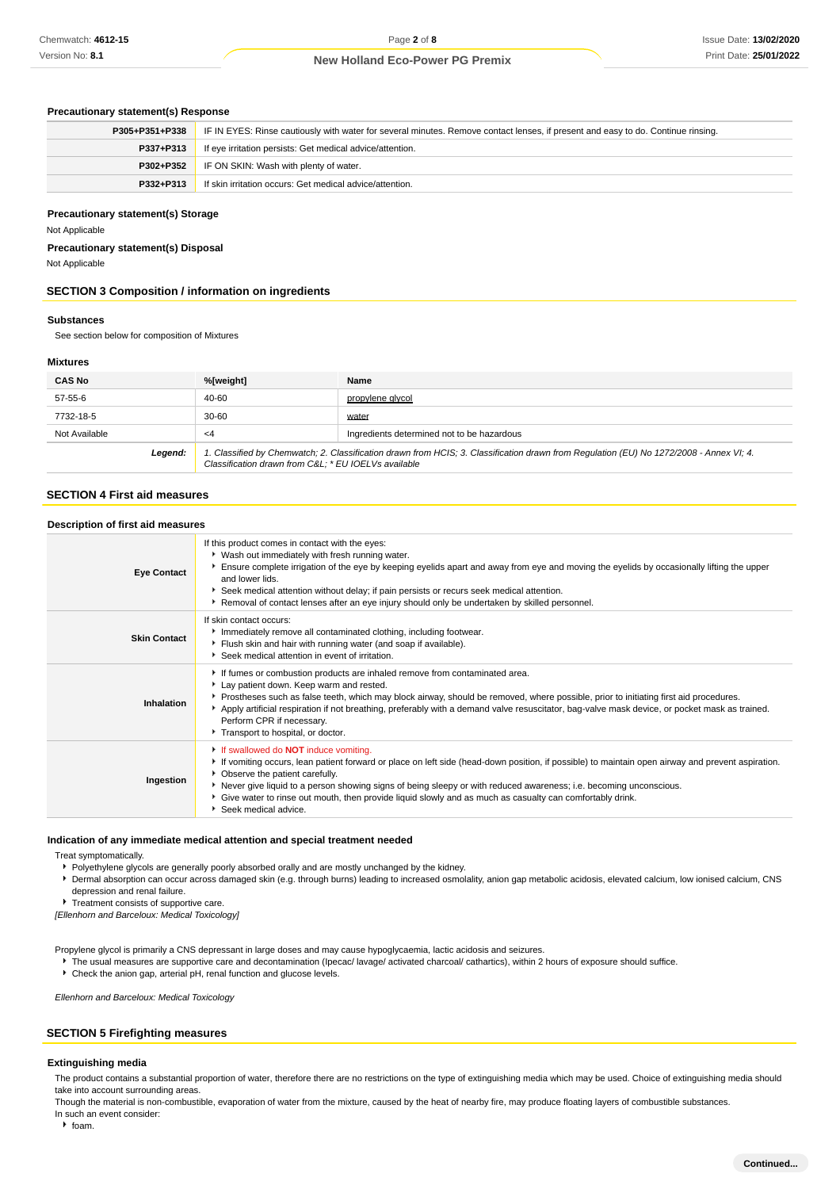### **Precautionary statement(s) Response**

| P305+P351+P338 | IF IN EYES: Rinse cautiously with water for several minutes. Remove contact lenses, if present and easy to do. Continue rinsing. |  |
|----------------|----------------------------------------------------------------------------------------------------------------------------------|--|
| P337+P313      | If eye irritation persists: Get medical advice/attention.                                                                        |  |
| P302+P352      | IF ON SKIN: Wash with plenty of water.                                                                                           |  |
| P332+P313      | If skin irritation occurs: Get medical advice/attention.                                                                         |  |

### **Precautionary statement(s) Storage**

Not Applicable

**Precautionary statement(s) Disposal**

Not Applicable

### **SECTION 3 Composition / information on ingredients**

### **Substances**

See section below for composition of Mixtures

### **Mixtures**

| <b>CAS No</b> | %[weight]<br>Name                                                                                                                                                                              |  |
|---------------|------------------------------------------------------------------------------------------------------------------------------------------------------------------------------------------------|--|
| 57-55-6       | 40-60<br>propylene glycol                                                                                                                                                                      |  |
| 7732-18-5     | $30 - 60$<br>water                                                                                                                                                                             |  |
| Not Available | Ingredients determined not to be hazardous<br>$\leq$ 4                                                                                                                                         |  |
| Legend:       | 1. Classified by Chemwatch; 2. Classification drawn from HCIS; 3. Classification drawn from Regulation (EU) No 1272/2008 - Annex VI; 4.<br>Classification drawn from C&L * EU IOELVs available |  |

#### **SECTION 4 First aid measures**

#### **Description of first aid measures**

| <b>Eye Contact</b>  | If this product comes in contact with the eyes:<br>• Wash out immediately with fresh running water.<br>Ensure complete irrigation of the eye by keeping eyelids apart and away from eye and moving the eyelids by occasionally lifting the upper<br>and lower lids.<br>Seek medical attention without delay; if pain persists or recurs seek medical attention.<br>Removal of contact lenses after an eye injury should only be undertaken by skilled personnel.                                 |
|---------------------|--------------------------------------------------------------------------------------------------------------------------------------------------------------------------------------------------------------------------------------------------------------------------------------------------------------------------------------------------------------------------------------------------------------------------------------------------------------------------------------------------|
| <b>Skin Contact</b> | If skin contact occurs:<br>Immediately remove all contaminated clothing, including footwear.<br>Flush skin and hair with running water (and soap if available).<br>Seek medical attention in event of irritation.                                                                                                                                                                                                                                                                                |
| Inhalation          | If fumes or combustion products are inhaled remove from contaminated area.<br>Lay patient down. Keep warm and rested.<br>▶ Prostheses such as false teeth, which may block airway, should be removed, where possible, prior to initiating first aid procedures.<br>Apply artificial respiration if not breathing, preferably with a demand valve resuscitator, bag-valve mask device, or pocket mask as trained.<br>Perform CPR if necessary.<br>Transport to hospital, or doctor.               |
| Ingestion           | If swallowed do <b>NOT</b> induce vomiting.<br>If vomiting occurs, lean patient forward or place on left side (head-down position, if possible) to maintain open airway and prevent aspiration.<br>• Observe the patient carefully.<br>▶ Never give liquid to a person showing signs of being sleepy or with reduced awareness; i.e. becoming unconscious.<br>► Give water to rinse out mouth, then provide liquid slowly and as much as casualty can comfortably drink.<br>Seek medical advice. |

### **Indication of any immediate medical attention and special treatment needed**

Treat symptomatically.

Polyethylene glycols are generally poorly absorbed orally and are mostly unchanged by the kidney.

- Dermal absorption can occur across damaged skin (e.g. through burns) leading to increased osmolality, anion gap metabolic acidosis, elevated calcium, low ionised calcium, CNS depression and renal failure.
- Treatment consists of supportive care.

[Ellenhorn and Barceloux: Medical Toxicology]

Propylene glycol is primarily a CNS depressant in large doses and may cause hypoglycaemia, lactic acidosis and seizures.

- ▶ The usual measures are supportive care and decontamination (Ipecac/ lavage/ activated charcoal/ cathartics), within 2 hours of exposure should suffice.
- Check the anion gap, arterial pH, renal function and glucose levels.

Ellenhorn and Barceloux: Medical Toxicology

#### **SECTION 5 Firefighting measures**

#### **Extinguishing media**

The product contains a substantial proportion of water, therefore there are no restrictions on the type of extinguishing media which may be used. Choice of extinguishing media should take into account surrounding areas.

Though the material is non-combustible, evaporation of water from the mixture, caused by the heat of nearby fire, may produce floating layers of combustible substances. In such an event consider:

 $\triangleright$  foam.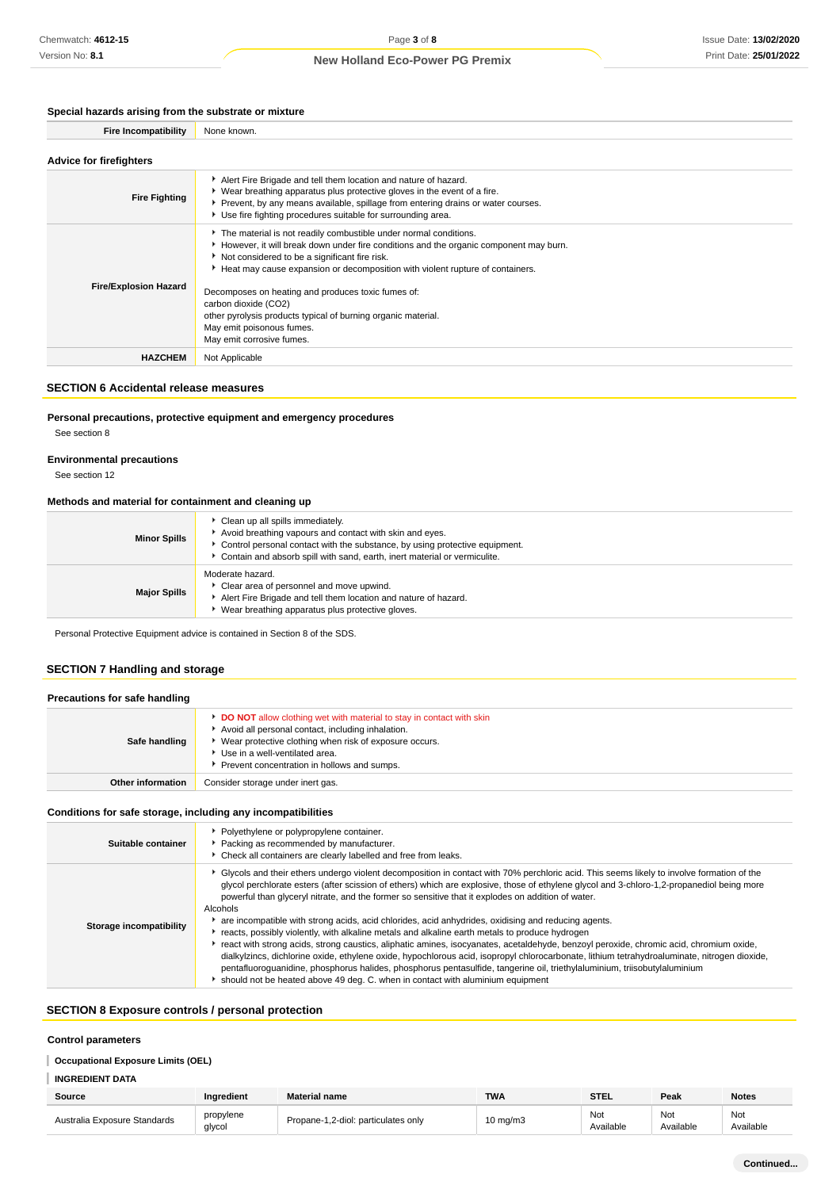## **Special hazards arising from the substrate or mixture**

| <b>Fire Incompatibility</b> | None known. |
|-----------------------------|-------------|
|-----------------------------|-------------|

| <b>Advice for firefighters</b> |                                                                                                                                                                                                                                                                                                                                                                                                                                                                                                      |  |  |
|--------------------------------|------------------------------------------------------------------------------------------------------------------------------------------------------------------------------------------------------------------------------------------------------------------------------------------------------------------------------------------------------------------------------------------------------------------------------------------------------------------------------------------------------|--|--|
| <b>Fire Fighting</b>           | Alert Fire Brigade and tell them location and nature of hazard.<br>▶ Wear breathing apparatus plus protective gloves in the event of a fire.<br>Prevent, by any means available, spillage from entering drains or water courses.<br>Use fire fighting procedures suitable for surrounding area.                                                                                                                                                                                                      |  |  |
| <b>Fire/Explosion Hazard</b>   | The material is not readily combustible under normal conditions.<br>However, it will break down under fire conditions and the organic component may burn.<br>Not considered to be a significant fire risk.<br>Heat may cause expansion or decomposition with violent rupture of containers.<br>Decomposes on heating and produces toxic fumes of:<br>carbon dioxide (CO2)<br>other pyrolysis products typical of burning organic material.<br>May emit poisonous fumes.<br>May emit corrosive fumes. |  |  |
| <b>HAZCHEM</b>                 | Not Applicable                                                                                                                                                                                                                                                                                                                                                                                                                                                                                       |  |  |

### **SECTION 6 Accidental release measures**

## **Personal precautions, protective equipment and emergency procedures**

See section 8

### **Environmental precautions**

See section 12

## **Methods and material for containment and cleaning up**

| <b>Minor Spills</b> | Clean up all spills immediately.<br>Avoid breathing vapours and contact with skin and eyes.<br>• Control personal contact with the substance, by using protective equipment.<br>Contain and absorb spill with sand, earth, inert material or vermiculite. |
|---------------------|-----------------------------------------------------------------------------------------------------------------------------------------------------------------------------------------------------------------------------------------------------------|
| <b>Major Spills</b> | Moderate hazard.<br>Clear area of personnel and move upwind.<br>Alert Fire Brigade and tell them location and nature of hazard.<br>Wear breathing apparatus plus protective gloves.                                                                       |

Personal Protective Equipment advice is contained in Section 8 of the SDS.

### **SECTION 7 Handling and storage**

| Precautions for safe handling |                                                                                                                                                                                                                                                                               |  |  |  |
|-------------------------------|-------------------------------------------------------------------------------------------------------------------------------------------------------------------------------------------------------------------------------------------------------------------------------|--|--|--|
| Safe handling                 | <b>DO NOT</b> allow clothing wet with material to stay in contact with skin<br>Avoid all personal contact, including inhalation.<br>▶ Wear protective clothing when risk of exposure occurs.<br>Use in a well-ventilated area.<br>Prevent concentration in hollows and sumps. |  |  |  |
| <b>Other information</b>      | Consider storage under inert gas.                                                                                                                                                                                                                                             |  |  |  |

### **Conditions for safe storage, including any incompatibilities**

| Suitable container      | • Polyethylene or polypropylene container.<br>Packing as recommended by manufacturer.<br>• Check all containers are clearly labelled and free from leaks.                                                                                                                                                                                                                                                                                                                                                                                                                                                                                                                                                                                                                                                                                                                                                                                                                                                                                                                                                                     |
|-------------------------|-------------------------------------------------------------------------------------------------------------------------------------------------------------------------------------------------------------------------------------------------------------------------------------------------------------------------------------------------------------------------------------------------------------------------------------------------------------------------------------------------------------------------------------------------------------------------------------------------------------------------------------------------------------------------------------------------------------------------------------------------------------------------------------------------------------------------------------------------------------------------------------------------------------------------------------------------------------------------------------------------------------------------------------------------------------------------------------------------------------------------------|
| Storage incompatibility | ► Glycols and their ethers undergo violent decomposition in contact with 70% perchloric acid. This seems likely to involve formation of the<br>glycol perchlorate esters (after scission of ethers) which are explosive, those of ethylene glycol and 3-chloro-1,2-propanediol being more<br>powerful than glyceryl nitrate, and the former so sensitive that it explodes on addition of water.<br>Alcohols<br>are incompatible with strong acids, acid chlorides, acid anhydrides, oxidising and reducing agents.<br>reacts, possibly violently, with alkaline metals and alkaline earth metals to produce hydrogen<br>react with strong acids, strong caustics, aliphatic amines, isocyanates, acetaldehyde, benzoyl peroxide, chromic acid, chromium oxide,<br>dialkylzincs, dichlorine oxide, ethylene oxide, hypochlorous acid, isopropyl chlorocarbonate, lithium tetrahydroaluminate, nitrogen dioxide,<br>pentafluoroquanidine, phosphorus halides, phosphorus pentasulfide, tangerine oil, triethylaluminium, triisobutylaluminium<br>should not be heated above 49 deg. C. when in contact with aluminium equipment |

## **SECTION 8 Exposure controls / personal protection**

### **Control parameters**

### **Occupational Exposure Limits (OEL)**

| <b>INGREDIENT DATA</b> |  |
|------------------------|--|

| <b>Source</b>                | <b>Ingredient</b>   | <b>Material name</b>                | <b>TWA</b>          | <b>STEL</b>      | Peak             | <b>Notes</b>     |
|------------------------------|---------------------|-------------------------------------|---------------------|------------------|------------------|------------------|
| Australia Exposure Standards | propylene<br>glycol | Propane-1.2-diol: particulates only | $10 \text{ ma/m}$ 3 | Not<br>Available | Nοι<br>Available | Not<br>Available |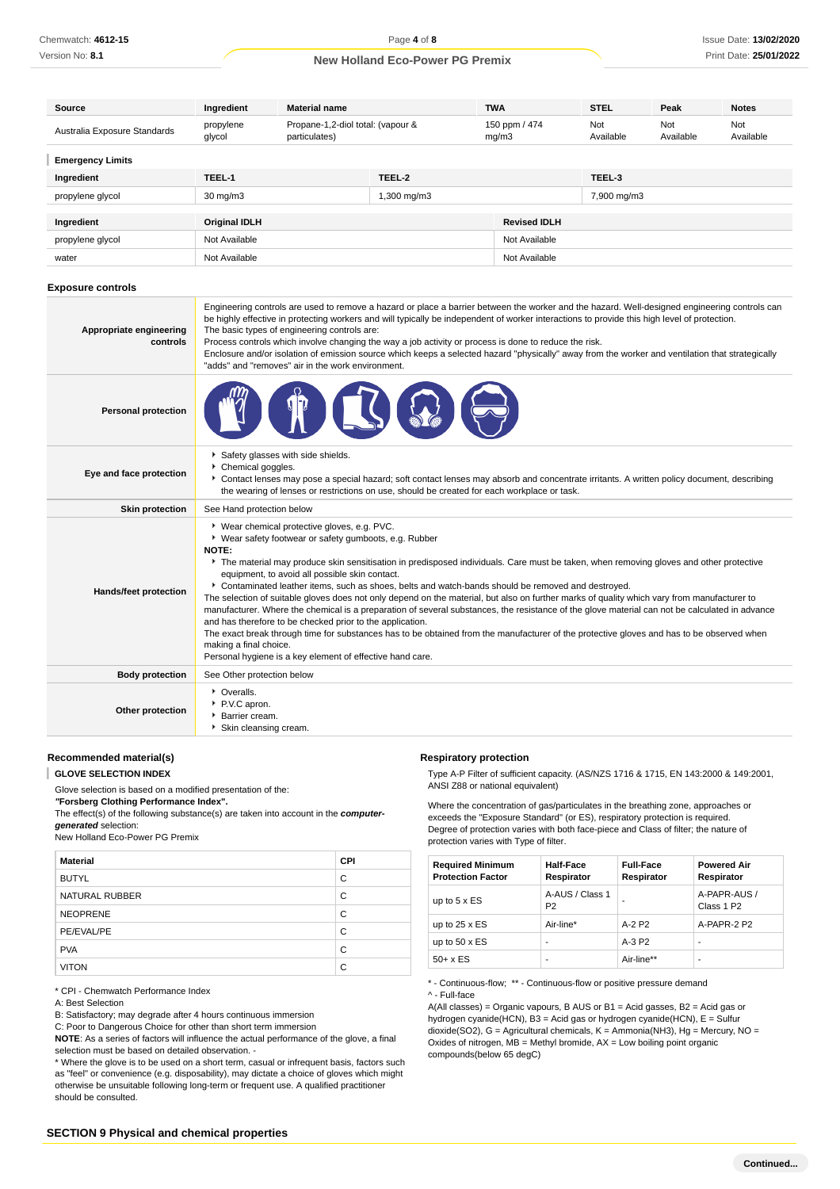| Source                       | Ingredient           | <b>Material name</b>                               |             | <b>TWA</b>             | <b>STEL</b>      | Peak             | <b>Notes</b>     |
|------------------------------|----------------------|----------------------------------------------------|-------------|------------------------|------------------|------------------|------------------|
| Australia Exposure Standards | propylene<br>glycol  | Propane-1,2-diol total: (vapour &<br>particulates) |             | 150 ppm / 474<br>mg/m3 | Not<br>Available | Not<br>Available | Not<br>Available |
| <b>Emergency Limits</b>      |                      |                                                    |             |                        |                  |                  |                  |
| Ingredient                   | TEEL-1               |                                                    | TEEL-2      |                        | TEEL-3           |                  |                  |
| propylene glycol             | $30 \text{ mg/m}$    |                                                    | 1,300 mg/m3 |                        | 7,900 mg/m3      |                  |                  |
|                              |                      |                                                    |             |                        |                  |                  |                  |
| Ingredient                   | <b>Original IDLH</b> |                                                    |             | <b>Revised IDLH</b>    |                  |                  |                  |
| propylene glycol             | Not Available        |                                                    |             | Not Available          |                  |                  |                  |
| water                        | Not Available        |                                                    |             | Not Available          |                  |                  |                  |

#### **Exposure controls**

| Appropriate engineering<br>controls | Engineering controls are used to remove a hazard or place a barrier between the worker and the hazard. Well-designed engineering controls can<br>be highly effective in protecting workers and will typically be independent of worker interactions to provide this high level of protection.<br>The basic types of engineering controls are:<br>Process controls which involve changing the way a job activity or process is done to reduce the risk.<br>Enclosure and/or isolation of emission source which keeps a selected hazard "physically" away from the worker and ventilation that strategically<br>"adds" and "removes" air in the work environment.                                                                                                                                                                                                                                                                                                                                                            |
|-------------------------------------|----------------------------------------------------------------------------------------------------------------------------------------------------------------------------------------------------------------------------------------------------------------------------------------------------------------------------------------------------------------------------------------------------------------------------------------------------------------------------------------------------------------------------------------------------------------------------------------------------------------------------------------------------------------------------------------------------------------------------------------------------------------------------------------------------------------------------------------------------------------------------------------------------------------------------------------------------------------------------------------------------------------------------|
| <b>Personal protection</b>          |                                                                                                                                                                                                                                                                                                                                                                                                                                                                                                                                                                                                                                                                                                                                                                                                                                                                                                                                                                                                                            |
| Eye and face protection             | Safety glasses with side shields.<br>Chemical goggles.<br>Contact lenses may pose a special hazard; soft contact lenses may absorb and concentrate irritants. A written policy document, describing<br>the wearing of lenses or restrictions on use, should be created for each workplace or task.                                                                                                                                                                                                                                                                                                                                                                                                                                                                                                                                                                                                                                                                                                                         |
| <b>Skin protection</b>              | See Hand protection below                                                                                                                                                                                                                                                                                                                                                                                                                                                                                                                                                                                                                                                                                                                                                                                                                                                                                                                                                                                                  |
| <b>Hands/feet protection</b>        | * Wear chemical protective gloves, e.g. PVC.<br>▶ Wear safety footwear or safety gumboots, e.g. Rubber<br><b>NOTE:</b><br>The material may produce skin sensitisation in predisposed individuals. Care must be taken, when removing gloves and other protective<br>equipment, to avoid all possible skin contact.<br>▶ Contaminated leather items, such as shoes, belts and watch-bands should be removed and destroyed.<br>The selection of suitable gloves does not only depend on the material, but also on further marks of quality which vary from manufacturer to<br>manufacturer. Where the chemical is a preparation of several substances, the resistance of the glove material can not be calculated in advance<br>and has therefore to be checked prior to the application.<br>The exact break through time for substances has to be obtained from the manufacturer of the protective gloves and has to be observed when<br>making a final choice.<br>Personal hygiene is a key element of effective hand care. |
| <b>Body protection</b>              | See Other protection below                                                                                                                                                                                                                                                                                                                                                                                                                                                                                                                                                                                                                                                                                                                                                                                                                                                                                                                                                                                                 |
| Other protection                    | • Overalls.<br>P.V.C apron.<br>Barrier cream.<br>Skin cleansing cream.                                                                                                                                                                                                                                                                                                                                                                                                                                                                                                                                                                                                                                                                                                                                                                                                                                                                                                                                                     |

## **Recommended material(s)**

T **GLOVE SELECTION INDEX**

Glove selection is based on a modified presentation of the:

**"Forsberg Clothing Performance Index".**

The effect(s) of the following substance(s) are taken into account in the **computergenerated** selection:

New Holland Eco-Power PG Premix

| <b>Material</b> | <b>CPI</b> |
|-----------------|------------|
| <b>BUTYL</b>    | C          |
| NATURAL RUBBER  | C          |
| <b>NEOPRENE</b> | C          |
| PE/EVAL/PE      | C          |
| <b>PVA</b>      | C          |
| <b>VITON</b>    | C          |

\* CPI - Chemwatch Performance Index

#### A: Best Selection

B: Satisfactory; may degrade after 4 hours continuous immersion

C: Poor to Dangerous Choice for other than short term immersion

**NOTE**: As a series of factors will influence the actual performance of the glove, a final selection must be based on detailed observation. -

\* Where the glove is to be used on a short term, casual or infrequent basis, factors such as "feel" or convenience (e.g. disposability), may dictate a choice of gloves which might otherwise be unsuitable following long-term or frequent use. A qualified practitioner should be consulted.

#### **Respiratory protection**

Type A-P Filter of sufficient capacity. (AS/NZS 1716 & 1715, EN 143:2000 & 149:2001, ANSI Z88 or national equivalent)

Where the concentration of gas/particulates in the breathing zone, approaches or exceeds the "Exposure Standard" (or ES), respiratory protection is required. Degree of protection varies with both face-piece and Class of filter; the nature of protection varies with Type of filter.

| <b>Required Minimum</b><br><b>Protection Factor</b> | <b>Half-Face</b><br>Respirator    | <b>Full-Face</b><br>Respirator | <b>Powered Air</b><br>Respirator       |
|-----------------------------------------------------|-----------------------------------|--------------------------------|----------------------------------------|
| up to $5 \times ES$                                 | A-AUS / Class 1<br>P <sub>2</sub> |                                | A-PAPR-AUS /<br>Class 1 P <sub>2</sub> |
| up to $25 \times ES$                                | Air-line*                         | $A-2P2$                        | A-PAPR-2 P2                            |
| up to $50 \times ES$                                |                                   | $A-3P2$                        | -                                      |
| $50+ x ES$                                          |                                   | Air-line**                     | -                                      |

\* - Continuous-flow; \*\* - Continuous-flow or positive pressure demand

^ - Full-face

A(All classes) = Organic vapours, B AUS or B1 = Acid gasses, B2 = Acid gas or hydrogen cyanide(HCN), B3 = Acid gas or hydrogen cyanide(HCN), E = Sulfur dioxide(SO2), G = Agricultural chemicals, K = Ammonia(NH3), Hg = Mercury, NO = Oxides of nitrogen,  $MB =$  Methyl bromide,  $AX =$  Low boiling point organic compounds(below 65 degC)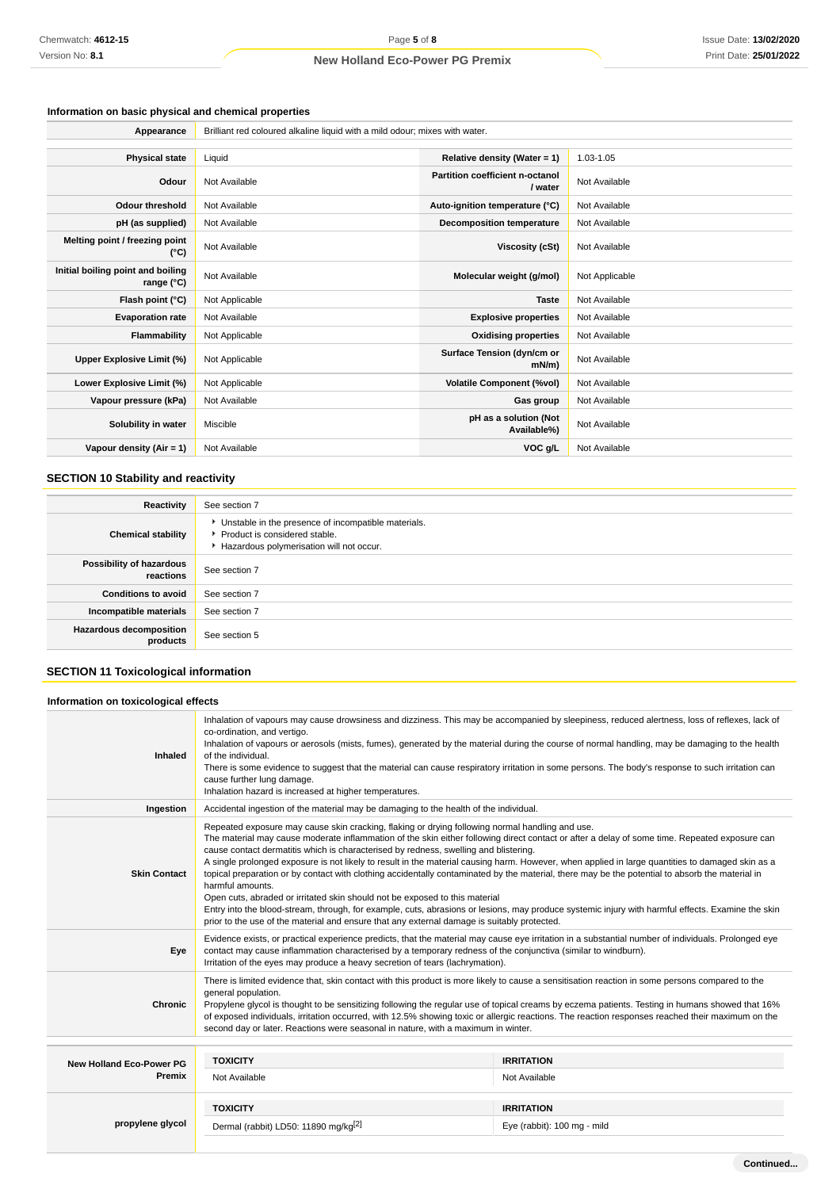## **Information on basic physical and chemical properties**

| Appearance                                      | Brilliant red coloured alkaline liquid with a mild odour; mixes with water. |                                            |                |  |  |
|-------------------------------------------------|-----------------------------------------------------------------------------|--------------------------------------------|----------------|--|--|
|                                                 |                                                                             |                                            |                |  |  |
| <b>Physical state</b>                           | Liquid                                                                      | Relative density (Water = 1)               | 1.03-1.05      |  |  |
| Odour                                           | Not Available                                                               | Partition coefficient n-octanol<br>/ water | Not Available  |  |  |
| <b>Odour threshold</b>                          | Not Available                                                               | Auto-ignition temperature (°C)             | Not Available  |  |  |
| pH (as supplied)                                | Not Available                                                               | <b>Decomposition temperature</b>           | Not Available  |  |  |
| Melting point / freezing point<br>(°C)          | Not Available                                                               | Viscosity (cSt)                            | Not Available  |  |  |
| Initial boiling point and boiling<br>range (°C) | Not Available                                                               | Molecular weight (g/mol)                   | Not Applicable |  |  |
| Flash point (°C)                                | Not Applicable                                                              | <b>Taste</b>                               | Not Available  |  |  |
| <b>Evaporation rate</b>                         | Not Available                                                               | <b>Explosive properties</b>                | Not Available  |  |  |
| Flammability                                    | Not Applicable                                                              | <b>Oxidising properties</b>                | Not Available  |  |  |
| Upper Explosive Limit (%)                       | Not Applicable                                                              | Surface Tension (dyn/cm or<br>$mN/m$ )     | Not Available  |  |  |
| Lower Explosive Limit (%)                       | Not Applicable                                                              | <b>Volatile Component (%vol)</b>           | Not Available  |  |  |
| Vapour pressure (kPa)                           | Not Available                                                               | Gas group                                  | Not Available  |  |  |
| Solubility in water                             | Miscible                                                                    | pH as a solution (Not<br>Available%)       | Not Available  |  |  |
| Vapour density $(Air = 1)$                      | Not Available                                                               | VOC g/L                                    | Not Available  |  |  |

## **SECTION 10 Stability and reactivity**

| Reactivity                                 | See section 7                                                                                                                      |
|--------------------------------------------|------------------------------------------------------------------------------------------------------------------------------------|
| <b>Chemical stability</b>                  | Unstable in the presence of incompatible materials.<br>▶ Product is considered stable.<br>Hazardous polymerisation will not occur. |
| Possibility of hazardous<br>reactions      | See section 7                                                                                                                      |
| <b>Conditions to avoid</b>                 | See section 7                                                                                                                      |
| Incompatible materials                     | See section 7                                                                                                                      |
| <b>Hazardous decomposition</b><br>products | See section 5                                                                                                                      |

## **SECTION 11 Toxicological information**

# **Information on toxicological effects**

| Inhaled                         | Inhalation of vapours may cause drowsiness and dizziness. This may be accompanied by sleepiness, reduced alertness, loss of reflexes, lack of<br>co-ordination, and vertigo.<br>Inhalation of vapours or aerosols (mists, fumes), generated by the material during the course of normal handling, may be damaging to the health<br>of the individual.<br>There is some evidence to suggest that the material can cause respiratory irritation in some persons. The body's response to such irritation can<br>cause further lung damage.<br>Inhalation hazard is increased at higher temperatures.                                                                                                                                                                                                                                                                                                                                                                                                      |                             |  |  |  |
|---------------------------------|--------------------------------------------------------------------------------------------------------------------------------------------------------------------------------------------------------------------------------------------------------------------------------------------------------------------------------------------------------------------------------------------------------------------------------------------------------------------------------------------------------------------------------------------------------------------------------------------------------------------------------------------------------------------------------------------------------------------------------------------------------------------------------------------------------------------------------------------------------------------------------------------------------------------------------------------------------------------------------------------------------|-----------------------------|--|--|--|
| Ingestion                       | Accidental ingestion of the material may be damaging to the health of the individual.                                                                                                                                                                                                                                                                                                                                                                                                                                                                                                                                                                                                                                                                                                                                                                                                                                                                                                                  |                             |  |  |  |
| <b>Skin Contact</b>             | Repeated exposure may cause skin cracking, flaking or drying following normal handling and use.<br>The material may cause moderate inflammation of the skin either following direct contact or after a delay of some time. Repeated exposure can<br>cause contact dermatitis which is characterised by redness, swelling and blistering.<br>A single prolonged exposure is not likely to result in the material causing harm. However, when applied in large quantities to damaged skin as a<br>topical preparation or by contact with clothing accidentally contaminated by the material, there may be the potential to absorb the material in<br>harmful amounts.<br>Open cuts, abraded or irritated skin should not be exposed to this material<br>Entry into the blood-stream, through, for example, cuts, abrasions or lesions, may produce systemic injury with harmful effects. Examine the skin<br>prior to the use of the material and ensure that any external damage is suitably protected. |                             |  |  |  |
| Eye                             | Evidence exists, or practical experience predicts, that the material may cause eye irritation in a substantial number of individuals. Prolonged eye<br>contact may cause inflammation characterised by a temporary redness of the conjunctiva (similar to windburn).<br>Irritation of the eyes may produce a heavy secretion of tears (lachrymation).                                                                                                                                                                                                                                                                                                                                                                                                                                                                                                                                                                                                                                                  |                             |  |  |  |
| <b>Chronic</b>                  | There is limited evidence that, skin contact with this product is more likely to cause a sensitisation reaction in some persons compared to the<br>general population.<br>Propylene glycol is thought to be sensitizing following the regular use of topical creams by eczema patients. Testing in humans showed that 16%<br>of exposed individuals, irritation occurred, with 12.5% showing toxic or allergic reactions. The reaction responses reached their maximum on the<br>second day or later. Reactions were seasonal in nature, with a maximum in winter.                                                                                                                                                                                                                                                                                                                                                                                                                                     |                             |  |  |  |
|                                 |                                                                                                                                                                                                                                                                                                                                                                                                                                                                                                                                                                                                                                                                                                                                                                                                                                                                                                                                                                                                        |                             |  |  |  |
| <b>New Holland Eco-Power PG</b> | <b>TOXICITY</b>                                                                                                                                                                                                                                                                                                                                                                                                                                                                                                                                                                                                                                                                                                                                                                                                                                                                                                                                                                                        | <b>IRRITATION</b>           |  |  |  |
| Premix                          | Not Available                                                                                                                                                                                                                                                                                                                                                                                                                                                                                                                                                                                                                                                                                                                                                                                                                                                                                                                                                                                          | Not Available               |  |  |  |
|                                 | <b>TOXICITY</b>                                                                                                                                                                                                                                                                                                                                                                                                                                                                                                                                                                                                                                                                                                                                                                                                                                                                                                                                                                                        | <b>IRRITATION</b>           |  |  |  |
| propylene glycol                | Dermal (rabbit) LD50: 11890 mg/kg <sup>[2]</sup>                                                                                                                                                                                                                                                                                                                                                                                                                                                                                                                                                                                                                                                                                                                                                                                                                                                                                                                                                       | Eye (rabbit): 100 mg - mild |  |  |  |
|                                 |                                                                                                                                                                                                                                                                                                                                                                                                                                                                                                                                                                                                                                                                                                                                                                                                                                                                                                                                                                                                        |                             |  |  |  |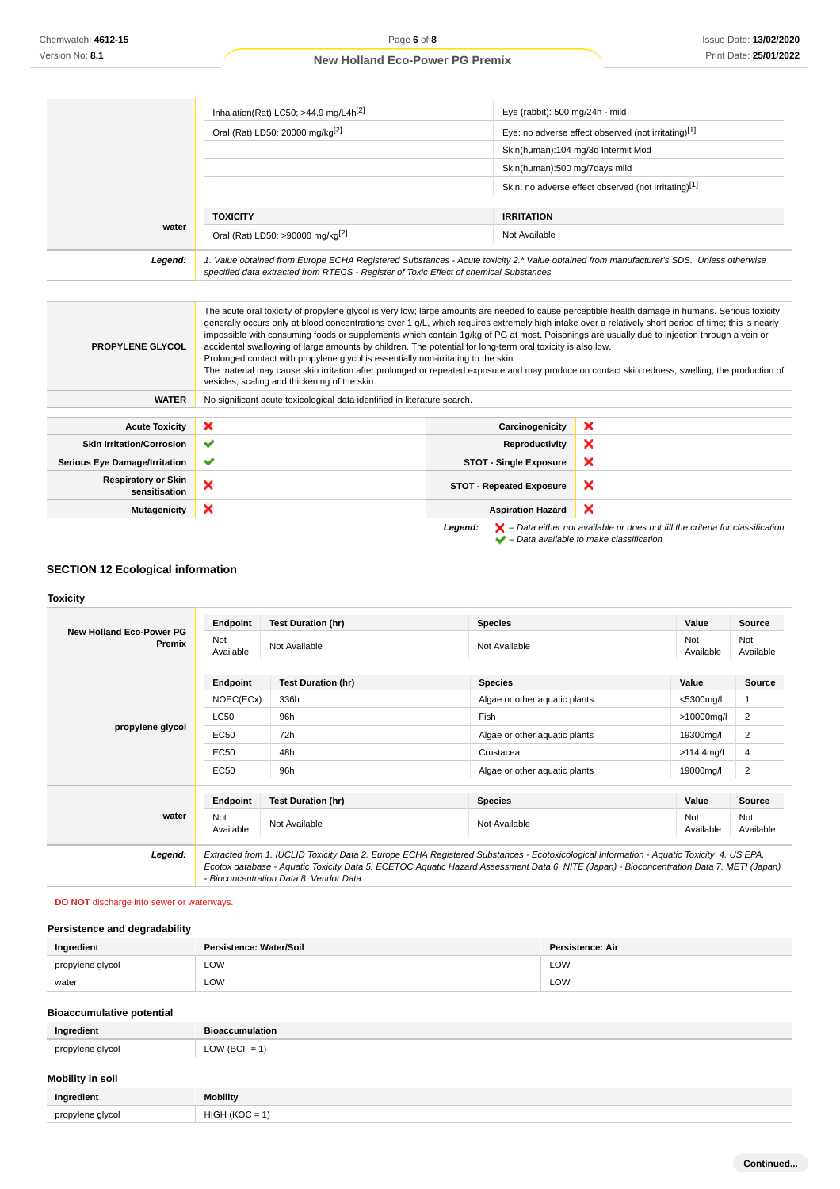| Inhalation(Rat) LC50; >44.9 mg/L4 $h^{[2]}$                                                                                                                                                                                     | Eye (rabbit): 500 mg/24h - mild                      |
|---------------------------------------------------------------------------------------------------------------------------------------------------------------------------------------------------------------------------------|------------------------------------------------------|
| Oral (Rat) LD50; 20000 mg/kg <sup>[2]</sup>                                                                                                                                                                                     | Eye: no adverse effect observed (not irritating)[1]  |
|                                                                                                                                                                                                                                 | Skin(human):104 mg/3d Intermit Mod                   |
|                                                                                                                                                                                                                                 | Skin(human):500 mg/7days mild                        |
|                                                                                                                                                                                                                                 | Skin: no adverse effect observed (not irritating)[1] |
|                                                                                                                                                                                                                                 | <b>IRRITATION</b>                                    |
| Oral (Rat) LD50; >90000 mg/kg <sup>[2]</sup>                                                                                                                                                                                    | Not Available                                        |
| 1. Value obtained from Europe ECHA Registered Substances - Acute toxicity 2.* Value obtained from manufacturer's SDS. Unless otherwise<br>specified data extracted from RTECS - Register of Toxic Effect of chemical Substances |                                                      |
|                                                                                                                                                                                                                                 | <b>TOXICITY</b>                                      |

| <b>PROPYLENE GLYCOL</b>                     | The acute oral toxicity of propylene glycol is very low; large amounts are needed to cause perceptible health damage in humans. Serious toxicity<br>generally occurs only at blood concentrations over 1 g/L, which requires extremely high intake over a relatively short period of time; this is nearly<br>impossible with consuming foods or supplements which contain 1g/kg of PG at most. Poisonings are usually due to injection through a vein or<br>accidental swallowing of large amounts by children. The potential for long-term oral toxicity is also low.<br>Prolonged contact with propylene glycol is essentially non-irritating to the skin.<br>The material may cause skin irritation after prolonged or repeated exposure and may produce on contact skin redness, swelling, the production of<br>vesicles, scaling and thickening of the skin. |                                 |                                                                                                                                                                     |
|---------------------------------------------|-------------------------------------------------------------------------------------------------------------------------------------------------------------------------------------------------------------------------------------------------------------------------------------------------------------------------------------------------------------------------------------------------------------------------------------------------------------------------------------------------------------------------------------------------------------------------------------------------------------------------------------------------------------------------------------------------------------------------------------------------------------------------------------------------------------------------------------------------------------------|---------------------------------|---------------------------------------------------------------------------------------------------------------------------------------------------------------------|
| <b>WATER</b>                                | No significant acute toxicological data identified in literature search.                                                                                                                                                                                                                                                                                                                                                                                                                                                                                                                                                                                                                                                                                                                                                                                          |                                 |                                                                                                                                                                     |
| <b>Acute Toxicity</b>                       | ×                                                                                                                                                                                                                                                                                                                                                                                                                                                                                                                                                                                                                                                                                                                                                                                                                                                                 | Carcinogenicity                 | ×                                                                                                                                                                   |
| <b>Skin Irritation/Corrosion</b>            | ✔                                                                                                                                                                                                                                                                                                                                                                                                                                                                                                                                                                                                                                                                                                                                                                                                                                                                 | <b>Reproductivity</b>           | ×                                                                                                                                                                   |
| <b>Serious Eye Damage/Irritation</b>        | ✔                                                                                                                                                                                                                                                                                                                                                                                                                                                                                                                                                                                                                                                                                                                                                                                                                                                                 | <b>STOT - Single Exposure</b>   | ×                                                                                                                                                                   |
| <b>Respiratory or Skin</b><br>sensitisation | ×                                                                                                                                                                                                                                                                                                                                                                                                                                                                                                                                                                                                                                                                                                                                                                                                                                                                 | <b>STOT - Repeated Exposure</b> | ×                                                                                                                                                                   |
| <b>Mutagenicity</b>                         | ×                                                                                                                                                                                                                                                                                                                                                                                                                                                                                                                                                                                                                                                                                                                                                                                                                                                                 | <b>Aspiration Hazard</b>        | ×                                                                                                                                                                   |
|                                             |                                                                                                                                                                                                                                                                                                                                                                                                                                                                                                                                                                                                                                                                                                                                                                                                                                                                   | Legend:                         | $\blacktriangleright$ - Data either not available or does not fill the criteria for classification<br>$\blacktriangleright$ - Data available to make classification |

## **SECTION 12 Ecological information**

### **Toxicity**

|                                           | Endpoint                                                                                                                                                                                                                                                                                                                       | <b>Test Duration (hr)</b> | <b>Species</b>                | Value            | <b>Source</b>    |
|-------------------------------------------|--------------------------------------------------------------------------------------------------------------------------------------------------------------------------------------------------------------------------------------------------------------------------------------------------------------------------------|---------------------------|-------------------------------|------------------|------------------|
| <b>New Holland Eco-Power PG</b><br>Premix | Not<br>Available                                                                                                                                                                                                                                                                                                               | Not Available             | Not Available                 | Not<br>Available | Not<br>Available |
|                                           | Endpoint                                                                                                                                                                                                                                                                                                                       | <b>Test Duration (hr)</b> | <b>Species</b>                | Value            | Source           |
|                                           | NOEC(ECx)                                                                                                                                                                                                                                                                                                                      | 336h                      | Algae or other aquatic plants | $<$ 5300 $mq$ /l | 1                |
|                                           | <b>LC50</b>                                                                                                                                                                                                                                                                                                                    | 96h                       | Fish                          | >10000mg/l       | 2                |
| propylene glycol                          | <b>EC50</b>                                                                                                                                                                                                                                                                                                                    | 72h                       | Algae or other aquatic plants | 19300mg/l        | 2                |
|                                           | EC50                                                                                                                                                                                                                                                                                                                           | 48h                       | Crustacea                     | $>114.4$ mg/L    | 4                |
|                                           | EC50                                                                                                                                                                                                                                                                                                                           | 96h                       | Algae or other aguatic plants | 19000mg/l        | $\overline{2}$   |
|                                           | Endpoint                                                                                                                                                                                                                                                                                                                       | <b>Test Duration (hr)</b> | <b>Species</b>                | Value            | <b>Source</b>    |
| water                                     | <b>Not</b><br>Available                                                                                                                                                                                                                                                                                                        | Not Available             | Not Available                 | Not<br>Available | Not<br>Available |
| Legend:                                   | Extracted from 1. IUCLID Toxicity Data 2. Europe ECHA Registered Substances - Ecotoxicological Information - Aquatic Toxicity 4. US EPA,<br>Ecotox database - Aquatic Toxicity Data 5. ECETOC Aquatic Hazard Assessment Data 6. NITE (Japan) - Bioconcentration Data 7. METI (Japan)<br>- Bioconcentration Data 8. Vendor Data |                           |                               |                  |                  |

## **DO NOT** discharge into sewer or waterways.

## **Persistence and degradability**

| Ingredient       | Persistence: Water/Soil | <b>Persistence: Air</b> |
|------------------|-------------------------|-------------------------|
| propylene glycol | LOW                     | LOW                     |
| water            | LOW                     | LOW<br>___              |

## **Bioaccumulative potential**

| Ingredient       | <b>Bioaccumulation</b> |
|------------------|------------------------|
| propylene glycol | $\sqrt{W}$ (BCF = 1,   |
|                  |                        |

# **Mobility in soil**

| Ingredient       | <b>Mobility</b> |
|------------------|-----------------|
| propylene alvcol | $ -$            |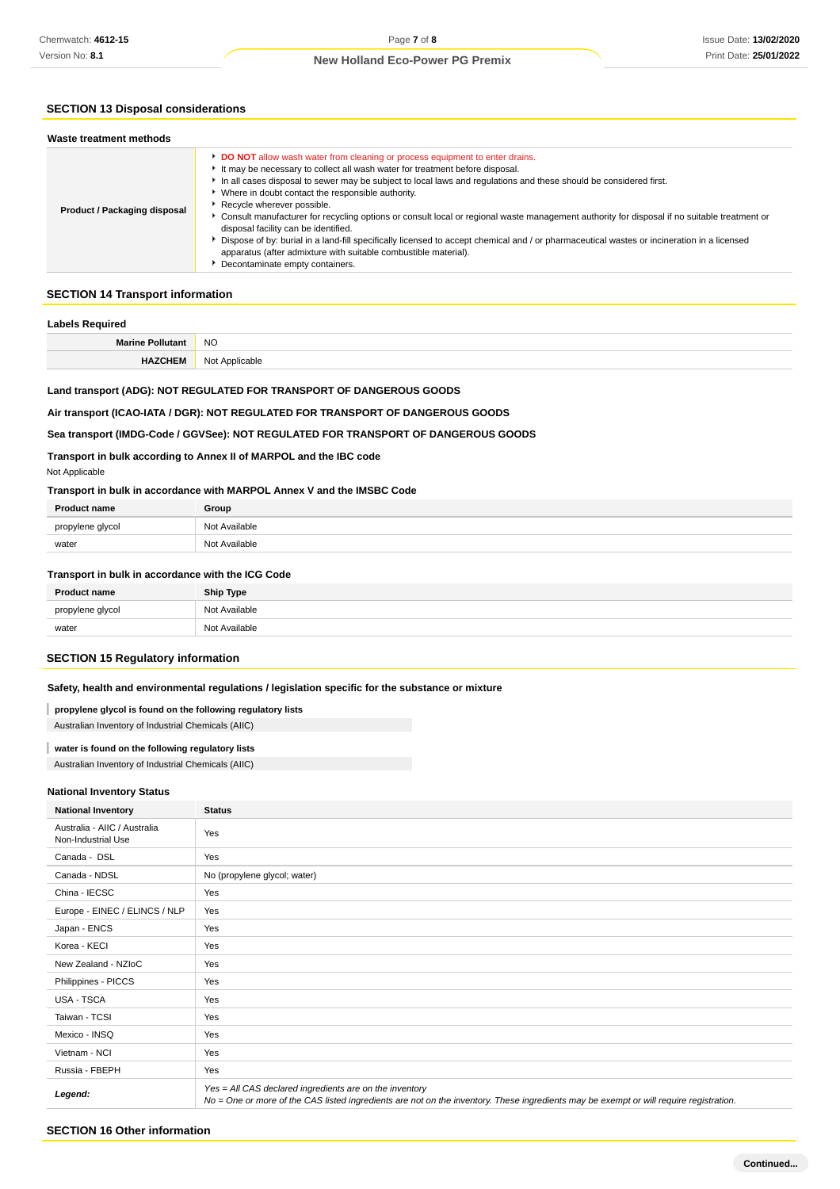## **SECTION 13 Disposal considerations**

| Product / Packaging disposal | <b>DO NOT</b> allow wash water from cleaning or process equipment to enter drains.<br>It may be necessary to collect all wash water for treatment before disposal.<br>In all cases disposal to sewer may be subject to local laws and regulations and these should be considered first.<br>• Where in doubt contact the responsible authority.<br>Recycle wherever possible.<br>► Consult manufacturer for recycling options or consult local or regional waste management authority for disposal if no suitable treatment or<br>disposal facility can be identified.<br>Dispose of by: burial in a land-fill specifically licensed to accept chemical and / or pharmaceutical wastes or incineration in a licensed<br>apparatus (after admixture with suitable combustible material).<br>Decontaminate empty containers. |
|------------------------------|---------------------------------------------------------------------------------------------------------------------------------------------------------------------------------------------------------------------------------------------------------------------------------------------------------------------------------------------------------------------------------------------------------------------------------------------------------------------------------------------------------------------------------------------------------------------------------------------------------------------------------------------------------------------------------------------------------------------------------------------------------------------------------------------------------------------------|
|------------------------------|---------------------------------------------------------------------------------------------------------------------------------------------------------------------------------------------------------------------------------------------------------------------------------------------------------------------------------------------------------------------------------------------------------------------------------------------------------------------------------------------------------------------------------------------------------------------------------------------------------------------------------------------------------------------------------------------------------------------------------------------------------------------------------------------------------------------------|

## **SECTION 14 Transport information**

## **Labels Required**

| Laveis nequireu         |                |
|-------------------------|----------------|
| <b>Marine Pollutant</b> | N <sub>O</sub> |
| <b>HAZCHEM</b>          | Not Applicable |

## **Land transport (ADG): NOT REGULATED FOR TRANSPORT OF DANGEROUS GOODS**

### **Air transport (ICAO-IATA / DGR): NOT REGULATED FOR TRANSPORT OF DANGEROUS GOODS**

## **Sea transport (IMDG-Code / GGVSee): NOT REGULATED FOR TRANSPORT OF DANGEROUS GOODS**

**Transport in bulk according to Annex II of MARPOL and the IBC code**

### Not Applicable

**Transport in bulk in accordance with MARPOL Annex V and the IMSBC Code**

| <b>Product name</b> | Group         |
|---------------------|---------------|
| propylene glycol    | Not Available |
| water               | Not Available |

#### **Transport in bulk in accordance with the ICG Code**

| <b>Product name</b> | <b>Ship Type</b> |
|---------------------|------------------|
| propylene glycol    | Not Available    |
| water               | Not Available    |

## **SECTION 15 Regulatory information**

## **Safety, health and environmental regulations / legislation specific for the substance or mixture**

#### **propylene glycol is found on the following regulatory lists**

Australian Inventory of Industrial Chemicals (AIIC)

### **water is found on the following regulatory lists**

Australian Inventory of Industrial Chemicals (AIIC)

#### **National Inventory Status**

| <b>National Inventory</b>                          | <b>Status</b>                                                                                                                                                                                     |
|----------------------------------------------------|---------------------------------------------------------------------------------------------------------------------------------------------------------------------------------------------------|
| Australia - AIIC / Australia<br>Non-Industrial Use | Yes                                                                                                                                                                                               |
| Canada - DSL                                       | Yes                                                                                                                                                                                               |
| Canada - NDSL                                      | No (propylene glycol; water)                                                                                                                                                                      |
| China - IECSC                                      | Yes                                                                                                                                                                                               |
| Europe - EINEC / ELINCS / NLP                      | Yes                                                                                                                                                                                               |
| Japan - ENCS                                       | Yes                                                                                                                                                                                               |
| Korea - KECI                                       | Yes                                                                                                                                                                                               |
| New Zealand - NZIoC                                | Yes                                                                                                                                                                                               |
| Philippines - PICCS                                | Yes                                                                                                                                                                                               |
| USA - TSCA                                         | Yes                                                                                                                                                                                               |
| Taiwan - TCSI                                      | Yes                                                                                                                                                                                               |
| Mexico - INSQ                                      | Yes                                                                                                                                                                                               |
| Vietnam - NCI                                      | Yes                                                                                                                                                                                               |
| Russia - FBEPH                                     | Yes                                                                                                                                                                                               |
| Legend:                                            | Yes = All CAS declared ingredients are on the inventory<br>No = One or more of the CAS listed ingredients are not on the inventory. These ingredients may be exempt or will require registration. |